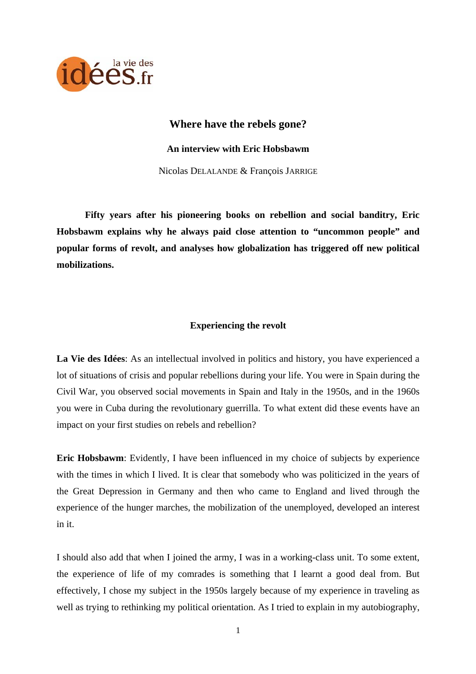

# **Where have the rebels gone?**

**An interview with Eric Hobsbawm** 

Nicolas DELALANDE & François JARRIGE

 **Fifty years after his pioneering books on rebellion and social banditry, Eric Hobsbawm explains why he always paid close attention to "uncommon people" and popular forms of revolt, and analyses how globalization has triggered off new political mobilizations.** 

## **Experiencing the revolt**

**La Vie des Idées**: As an intellectual involved in politics and history, you have experienced a lot of situations of crisis and popular rebellions during your life. You were in Spain during the Civil War, you observed social movements in Spain and Italy in the 1950s, and in the 1960s you were in Cuba during the revolutionary guerrilla. To what extent did these events have an impact on your first studies on rebels and rebellion?

**Eric Hobsbawm**: Evidently, I have been influenced in my choice of subjects by experience with the times in which I lived. It is clear that somebody who was politicized in the years of the Great Depression in Germany and then who came to England and lived through the experience of the hunger marches, the mobilization of the unemployed, developed an interest in it.

I should also add that when I joined the army, I was in a working-class unit. To some extent, the experience of life of my comrades is something that I learnt a good deal from. But effectively, I chose my subject in the 1950s largely because of my experience in traveling as well as trying to rethinking my political orientation. As I tried to explain in my autobiography,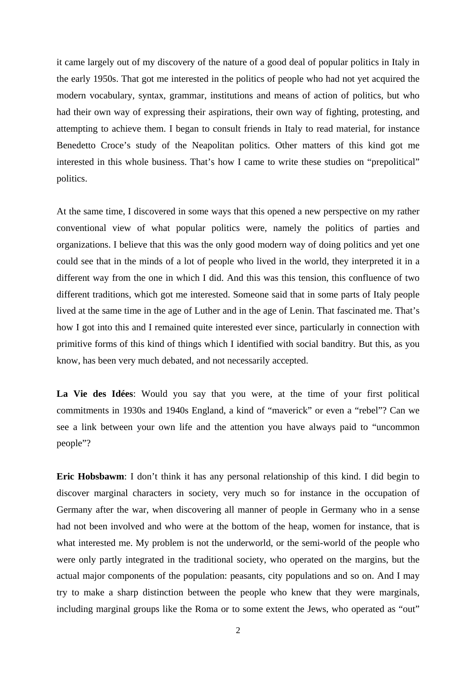it came largely out of my discovery of the nature of a good deal of popular politics in Italy in the early 1950s. That got me interested in the politics of people who had not yet acquired the modern vocabulary, syntax, grammar, institutions and means of action of politics, but who had their own way of expressing their aspirations, their own way of fighting, protesting, and attempting to achieve them. I began to consult friends in Italy to read material, for instance Benedetto Croce's study of the Neapolitan politics. Other matters of this kind got me interested in this whole business. That's how I came to write these studies on "prepolitical" politics.

At the same time, I discovered in some ways that this opened a new perspective on my rather conventional view of what popular politics were, namely the politics of parties and organizations. I believe that this was the only good modern way of doing politics and yet one could see that in the minds of a lot of people who lived in the world, they interpreted it in a different way from the one in which I did. And this was this tension, this confluence of two different traditions, which got me interested. Someone said that in some parts of Italy people lived at the same time in the age of Luther and in the age of Lenin. That fascinated me. That's how I got into this and I remained quite interested ever since, particularly in connection with primitive forms of this kind of things which I identified with social banditry. But this, as you know, has been very much debated, and not necessarily accepted.

**La Vie des Idées**: Would you say that you were, at the time of your first political commitments in 1930s and 1940s England, a kind of "maverick" or even a "rebel"? Can we see a link between your own life and the attention you have always paid to "uncommon people"?

**Eric Hobsbawm**: I don't think it has any personal relationship of this kind. I did begin to discover marginal characters in society, very much so for instance in the occupation of Germany after the war, when discovering all manner of people in Germany who in a sense had not been involved and who were at the bottom of the heap, women for instance, that is what interested me. My problem is not the underworld, or the semi-world of the people who were only partly integrated in the traditional society, who operated on the margins, but the actual major components of the population: peasants, city populations and so on. And I may try to make a sharp distinction between the people who knew that they were marginals, including marginal groups like the Roma or to some extent the Jews, who operated as "out"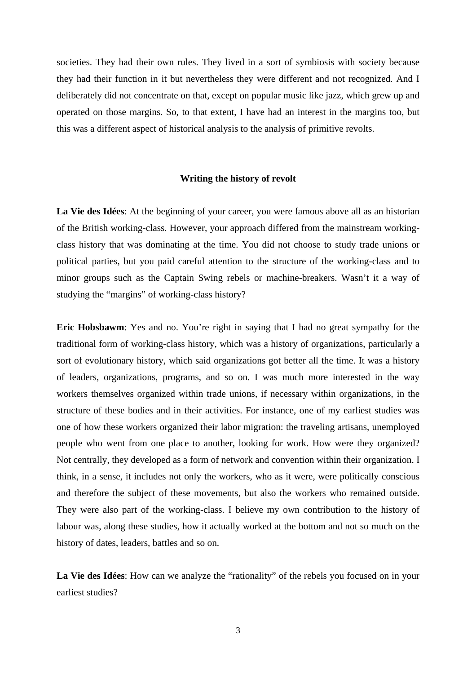societies. They had their own rules. They lived in a sort of symbiosis with society because they had their function in it but nevertheless they were different and not recognized. And I deliberately did not concentrate on that, except on popular music like jazz, which grew up and operated on those margins. So, to that extent, I have had an interest in the margins too, but this was a different aspect of historical analysis to the analysis of primitive revolts.

#### **Writing the history of revolt**

**La Vie des Idées**: At the beginning of your career, you were famous above all as an historian of the British working-class. However, your approach differed from the mainstream workingclass history that was dominating at the time. You did not choose to study trade unions or political parties, but you paid careful attention to the structure of the working-class and to minor groups such as the Captain Swing rebels or machine-breakers. Wasn't it a way of studying the "margins" of working-class history?

**Eric Hobsbawm**: Yes and no. You're right in saying that I had no great sympathy for the traditional form of working-class history, which was a history of organizations, particularly a sort of evolutionary history, which said organizations got better all the time. It was a history of leaders, organizations, programs, and so on. I was much more interested in the way workers themselves organized within trade unions, if necessary within organizations, in the structure of these bodies and in their activities. For instance, one of my earliest studies was one of how these workers organized their labor migration: the traveling artisans, unemployed people who went from one place to another, looking for work. How were they organized? Not centrally, they developed as a form of network and convention within their organization. I think, in a sense, it includes not only the workers, who as it were, were politically conscious and therefore the subject of these movements, but also the workers who remained outside. They were also part of the working-class. I believe my own contribution to the history of labour was, along these studies, how it actually worked at the bottom and not so much on the history of dates, leaders, battles and so on.

**La Vie des Idées**: How can we analyze the "rationality" of the rebels you focused on in your earliest studies?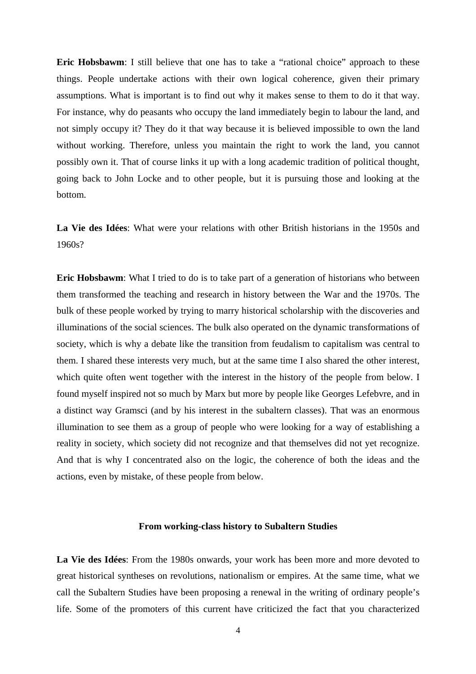**Eric Hobsbawm**: I still believe that one has to take a "rational choice" approach to these things. People undertake actions with their own logical coherence, given their primary assumptions. What is important is to find out why it makes sense to them to do it that way. For instance, why do peasants who occupy the land immediately begin to labour the land, and not simply occupy it? They do it that way because it is believed impossible to own the land without working. Therefore, unless you maintain the right to work the land, you cannot possibly own it. That of course links it up with a long academic tradition of political thought, going back to John Locke and to other people, but it is pursuing those and looking at the bottom.

**La Vie des Idées**: What were your relations with other British historians in the 1950s and 1960s?

**Eric Hobsbawm**: What I tried to do is to take part of a generation of historians who between them transformed the teaching and research in history between the War and the 1970s. The bulk of these people worked by trying to marry historical scholarship with the discoveries and illuminations of the social sciences. The bulk also operated on the dynamic transformations of society, which is why a debate like the transition from feudalism to capitalism was central to them. I shared these interests very much, but at the same time I also shared the other interest, which quite often went together with the interest in the history of the people from below. I found myself inspired not so much by Marx but more by people like Georges Lefebvre, and in a distinct way Gramsci (and by his interest in the subaltern classes). That was an enormous illumination to see them as a group of people who were looking for a way of establishing a reality in society, which society did not recognize and that themselves did not yet recognize. And that is why I concentrated also on the logic, the coherence of both the ideas and the actions, even by mistake, of these people from below.

#### **From working-class history to Subaltern Studies**

**La Vie des Idées**: From the 1980s onwards, your work has been more and more devoted to great historical syntheses on revolutions, nationalism or empires. At the same time, what we call the Subaltern Studies have been proposing a renewal in the writing of ordinary people's life. Some of the promoters of this current have criticized the fact that you characterized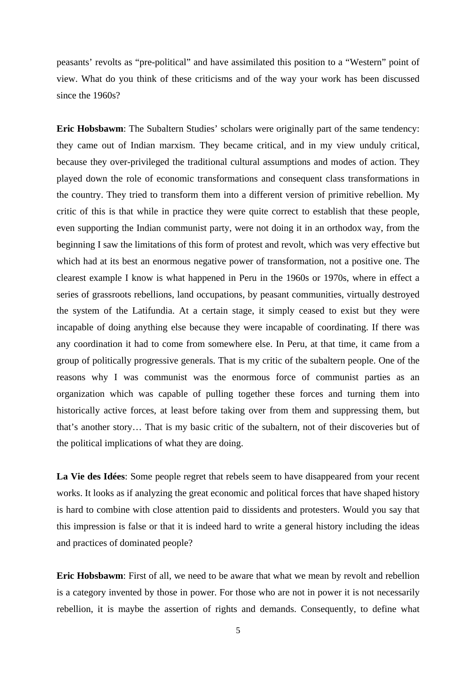peasants' revolts as "pre-political" and have assimilated this position to a "Western" point of view. What do you think of these criticisms and of the way your work has been discussed since the 1960s?

**Eric Hobsbawm:** The Subaltern Studies' scholars were originally part of the same tendency: they came out of Indian marxism. They became critical, and in my view unduly critical, because they over-privileged the traditional cultural assumptions and modes of action. They played down the role of economic transformations and consequent class transformations in the country. They tried to transform them into a different version of primitive rebellion. My critic of this is that while in practice they were quite correct to establish that these people, even supporting the Indian communist party, were not doing it in an orthodox way, from the beginning I saw the limitations of this form of protest and revolt, which was very effective but which had at its best an enormous negative power of transformation, not a positive one. The clearest example I know is what happened in Peru in the 1960s or 1970s, where in effect a series of grassroots rebellions, land occupations, by peasant communities, virtually destroyed the system of the Latifundia. At a certain stage, it simply ceased to exist but they were incapable of doing anything else because they were incapable of coordinating. If there was any coordination it had to come from somewhere else. In Peru, at that time, it came from a group of politically progressive generals. That is my critic of the subaltern people. One of the reasons why I was communist was the enormous force of communist parties as an organization which was capable of pulling together these forces and turning them into historically active forces, at least before taking over from them and suppressing them, but that's another story… That is my basic critic of the subaltern, not of their discoveries but of the political implications of what they are doing.

**La Vie des Idées**: Some people regret that rebels seem to have disappeared from your recent works. It looks as if analyzing the great economic and political forces that have shaped history is hard to combine with close attention paid to dissidents and protesters. Would you say that this impression is false or that it is indeed hard to write a general history including the ideas and practices of dominated people?

**Eric Hobsbawm**: First of all, we need to be aware that what we mean by revolt and rebellion is a category invented by those in power. For those who are not in power it is not necessarily rebellion, it is maybe the assertion of rights and demands. Consequently, to define what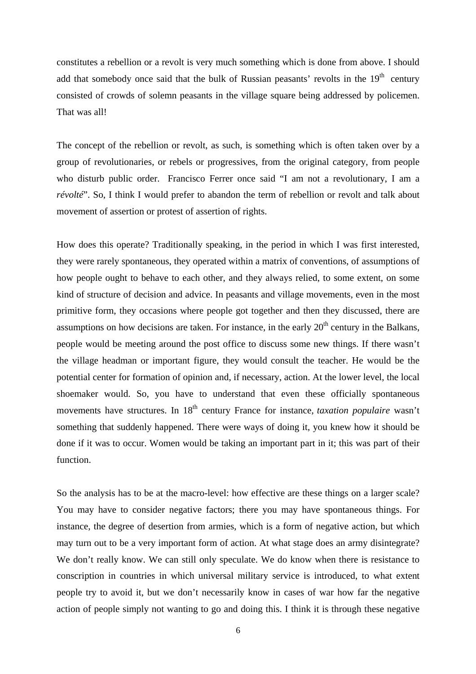constitutes a rebellion or a revolt is very much something which is done from above. I should add that somebody once said that the bulk of Russian peasants' revolts in the  $19<sup>th</sup>$  century consisted of crowds of solemn peasants in the village square being addressed by policemen. That was all!

The concept of the rebellion or revolt, as such, is something which is often taken over by a group of revolutionaries, or rebels or progressives, from the original category, from people who disturb public order. Francisco Ferrer once said "I am not a revolutionary, I am a *révolté*". So, I think I would prefer to abandon the term of rebellion or revolt and talk about movement of assertion or protest of assertion of rights.

How does this operate? Traditionally speaking, in the period in which I was first interested, they were rarely spontaneous, they operated within a matrix of conventions, of assumptions of how people ought to behave to each other, and they always relied, to some extent, on some kind of structure of decision and advice. In peasants and village movements, even in the most primitive form, they occasions where people got together and then they discussed, there are assumptions on how decisions are taken. For instance, in the early  $20<sup>th</sup>$  century in the Balkans, people would be meeting around the post office to discuss some new things. If there wasn't the village headman or important figure, they would consult the teacher. He would be the potential center for formation of opinion and, if necessary, action. At the lower level, the local shoemaker would. So, you have to understand that even these officially spontaneous movements have structures. In 18<sup>th</sup> century France for instance, *taxation populaire* wasn't something that suddenly happened. There were ways of doing it, you knew how it should be done if it was to occur. Women would be taking an important part in it; this was part of their function.

So the analysis has to be at the macro-level: how effective are these things on a larger scale? You may have to consider negative factors; there you may have spontaneous things. For instance, the degree of desertion from armies, which is a form of negative action, but which may turn out to be a very important form of action. At what stage does an army disintegrate? We don't really know. We can still only speculate. We do know when there is resistance to conscription in countries in which universal military service is introduced, to what extent people try to avoid it, but we don't necessarily know in cases of war how far the negative action of people simply not wanting to go and doing this. I think it is through these negative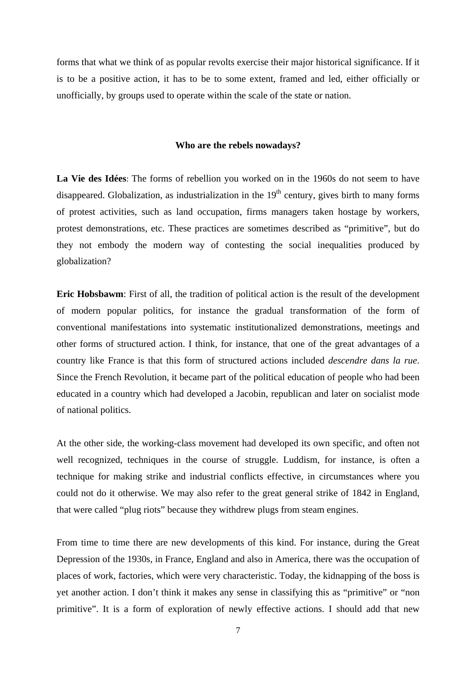forms that what we think of as popular revolts exercise their major historical significance. If it is to be a positive action, it has to be to some extent, framed and led, either officially or unofficially, by groups used to operate within the scale of the state or nation.

### **Who are the rebels nowadays?**

**La Vie des Idées**: The forms of rebellion you worked on in the 1960s do not seem to have disappeared. Globalization, as industrialization in the  $19<sup>th</sup>$  century, gives birth to many forms of protest activities, such as land occupation, firms managers taken hostage by workers, protest demonstrations, etc. These practices are sometimes described as "primitive", but do they not embody the modern way of contesting the social inequalities produced by globalization?

**Eric Hobsbawm**: First of all, the tradition of political action is the result of the development of modern popular politics, for instance the gradual transformation of the form of conventional manifestations into systematic institutionalized demonstrations, meetings and other forms of structured action. I think, for instance, that one of the great advantages of a country like France is that this form of structured actions included *descendre dans la rue*. Since the French Revolution, it became part of the political education of people who had been educated in a country which had developed a Jacobin, republican and later on socialist mode of national politics.

At the other side, the working-class movement had developed its own specific, and often not well recognized, techniques in the course of struggle. Luddism, for instance, is often a technique for making strike and industrial conflicts effective, in circumstances where you could not do it otherwise. We may also refer to the great general strike of 1842 in England, that were called "plug riots" because they withdrew plugs from steam engines.

From time to time there are new developments of this kind. For instance, during the Great Depression of the 1930s, in France, England and also in America, there was the occupation of places of work, factories, which were very characteristic. Today, the kidnapping of the boss is yet another action. I don't think it makes any sense in classifying this as "primitive" or "non primitive". It is a form of exploration of newly effective actions. I should add that new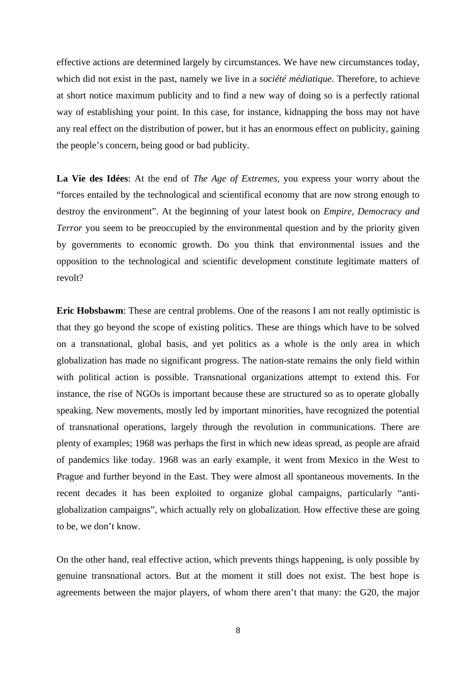effective actions are determined largely by circumstances. We have new circumstances today, which did not exist in the past, namely we live in a *société médiatique*. Therefore, to achieve at short notice maximum publicity and to find a new way of doing so is a perfectly rational way of establishing your point. In this case, for instance, kidnapping the boss may not have any real effect on the distribution of power, but it has an enormous effect on publicity, gaining the people's concern, being good or bad publicity.

**La Vie des Idées**: At the end of *The Age of Extremes*, you express your worry about the "forces entailed by the technological and scientifical economy that are now strong enough to destroy the environment". At the beginning of your latest book on *Empire, Democracy and Terror* you seem to be preoccupied by the environmental question and by the priority given by governments to economic growth. Do you think that environmental issues and the opposition to the technological and scientific development constitute legitimate matters of revolt?

**Eric Hobsbawm**: These are central problems. One of the reasons I am not really optimistic is that they go beyond the scope of existing politics. These are things which have to be solved on a transnational, global basis, and yet politics as a whole is the only area in which globalization has made no significant progress. The nation-state remains the only field within with political action is possible. Transnational organizations attempt to extend this. For instance, the rise of NGOs is important because these are structured so as to operate globally speaking. New movements, mostly led by important minorities, have recognized the potential of transnational operations, largely through the revolution in communications. There are plenty of examples; 1968 was perhaps the first in which new ideas spread, as people are afraid of pandemics like today. 1968 was an early example, it went from Mexico in the West to Prague and further beyond in the East. They were almost all spontaneous movements. In the recent decades it has been exploited to organize global campaigns, particularly "antiglobalization campaigns", which actually rely on globalization. How effective these are going to be, we don't know.

On the other hand, real effective action, which prevents things happening, is only possible by genuine transnational actors. But at the moment it still does not exist. The best hope is agreements between the major players, of whom there aren't that many: the G20, the major